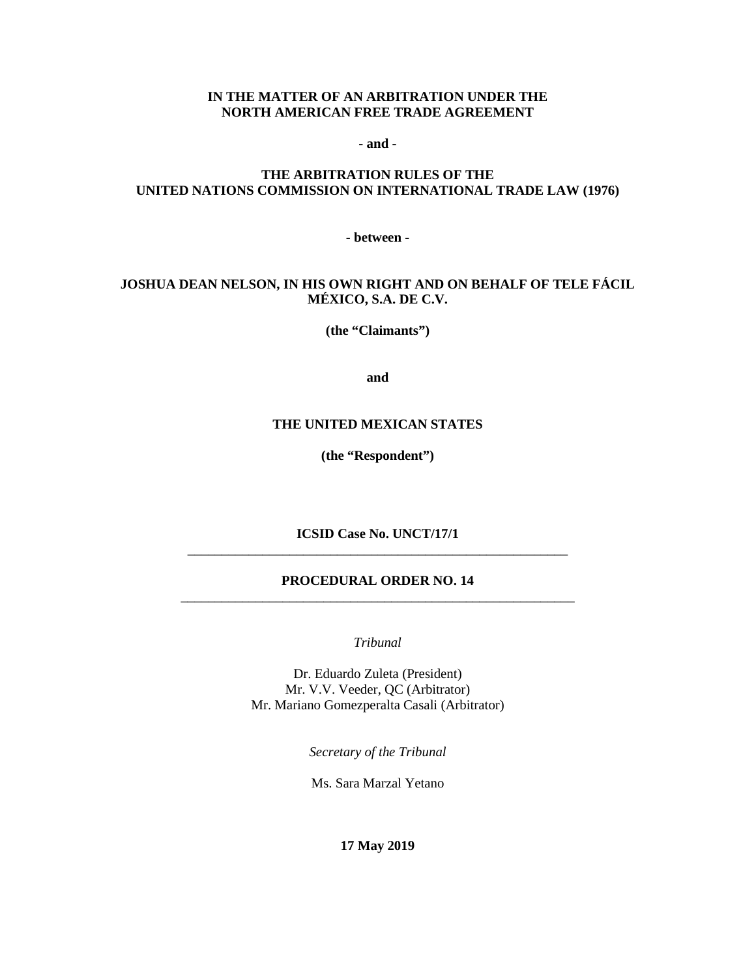#### **IN THE MATTER OF AN ARBITRATION UNDER THE NORTH AMERICAN FREE TRADE AGREEMENT**

**- and -**

# **THE ARBITRATION RULES OF THE UNITED NATIONS COMMISSION ON INTERNATIONAL TRADE LAW (1976)**

**- between -**

# **JOSHUA DEAN NELSON, IN HIS OWN RIGHT AND ON BEHALF OF TELE FÁCIL MÉXICO, S.A. DE C.V.**

**(the "Claimants")**

**and**

#### **THE UNITED MEXICAN STATES**

**(the "Respondent")**

**ICSID Case No. UNCT/17/1** \_\_\_\_\_\_\_\_\_\_\_\_\_\_\_\_\_\_\_\_\_\_\_\_\_\_\_\_\_\_\_\_\_\_\_\_\_\_\_\_\_\_\_\_\_\_\_\_\_\_\_\_\_\_\_\_

### **PROCEDURAL ORDER NO. 14** \_\_\_\_\_\_\_\_\_\_\_\_\_\_\_\_\_\_\_\_\_\_\_\_\_\_\_\_\_\_\_\_\_\_\_\_\_\_\_\_\_\_\_\_\_\_\_\_\_\_\_\_\_\_\_\_\_\_

*Tribunal*

Dr. Eduardo Zuleta (President) Mr. V.V. Veeder, QC (Arbitrator) Mr. Mariano Gomezperalta Casali (Arbitrator)

*Secretary of the Tribunal*

Ms. Sara Marzal Yetano

**17 May 2019**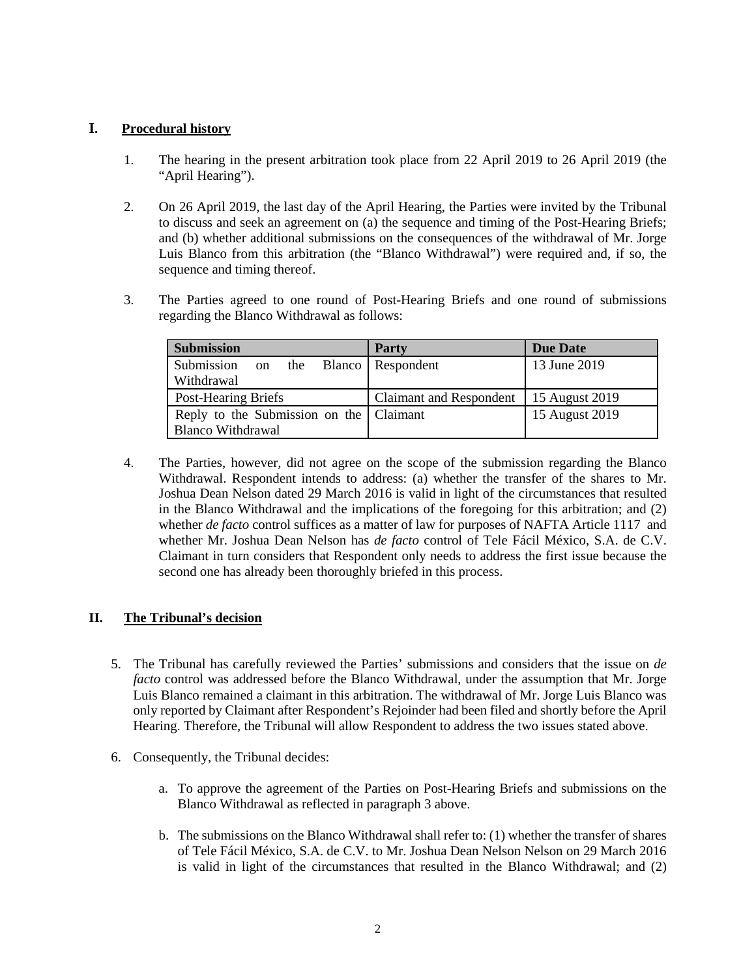### **I. Procedural history**

- 1. The hearing in the present arbitration took place from 22 April 2019 to 26 April 2019 (the "April Hearing").
- 2. On 26 April 2019, the last day of the April Hearing, the Parties were invited by the Tribunal to discuss and seek an agreement on (a) the sequence and timing of the Post-Hearing Briefs; and (b) whether additional submissions on the consequences of the withdrawal of Mr. Jorge Luis Blanco from this arbitration (the "Blanco Withdrawal") were required and, if so, the sequence and timing thereof.
- 3. The Parties agreed to one round of Post-Hearing Briefs and one round of submissions regarding the Blanco Withdrawal as follows:

| <b>Submission</b>                         | <b>Party</b>                             | <b>Due Date</b> |
|-------------------------------------------|------------------------------------------|-----------------|
| Submission on the Blanco Respondent       |                                          | 13 June 2019    |
| Withdrawal                                |                                          |                 |
| Post-Hearing Briefs                       | Claimant and Respondent   15 August 2019 |                 |
| Reply to the Submission on the   Claimant |                                          | 15 August 2019  |
| <b>Blanco Withdrawal</b>                  |                                          |                 |

4. The Parties, however, did not agree on the scope of the submission regarding the Blanco Withdrawal. Respondent intends to address: (a) whether the transfer of the shares to Mr. Joshua Dean Nelson dated 29 March 2016 is valid in light of the circumstances that resulted in the Blanco Withdrawal and the implications of the foregoing for this arbitration; and (2) whether *de facto* control suffices as a matter of law for purposes of NAFTA Article 1117 and whether Mr. Joshua Dean Nelson has *de facto* control of Tele Fácil México, S.A. de C.V. Claimant in turn considers that Respondent only needs to address the first issue because the second one has already been thoroughly briefed in this process.

# **II. The Tribunal's decision**

- 5. The Tribunal has carefully reviewed the Parties' submissions and considers that the issue on *de facto* control was addressed before the Blanco Withdrawal, under the assumption that Mr. Jorge Luis Blanco remained a claimant in this arbitration. The withdrawal of Mr. Jorge Luis Blanco was only reported by Claimant after Respondent's Rejoinder had been filed and shortly before the April Hearing. Therefore, the Tribunal will allow Respondent to address the two issues stated above.
- 6. Consequently, the Tribunal decides:
	- a. To approve the agreement of the Parties on Post-Hearing Briefs and submissions on the Blanco Withdrawal as reflected in paragraph 3 above.
	- b. The submissions on the Blanco Withdrawal shall refer to: (1) whether the transfer of shares of Tele Fácil México, S.A. de C.V. to Mr. Joshua Dean Nelson Nelson on 29 March 2016 is valid in light of the circumstances that resulted in the Blanco Withdrawal; and (2)